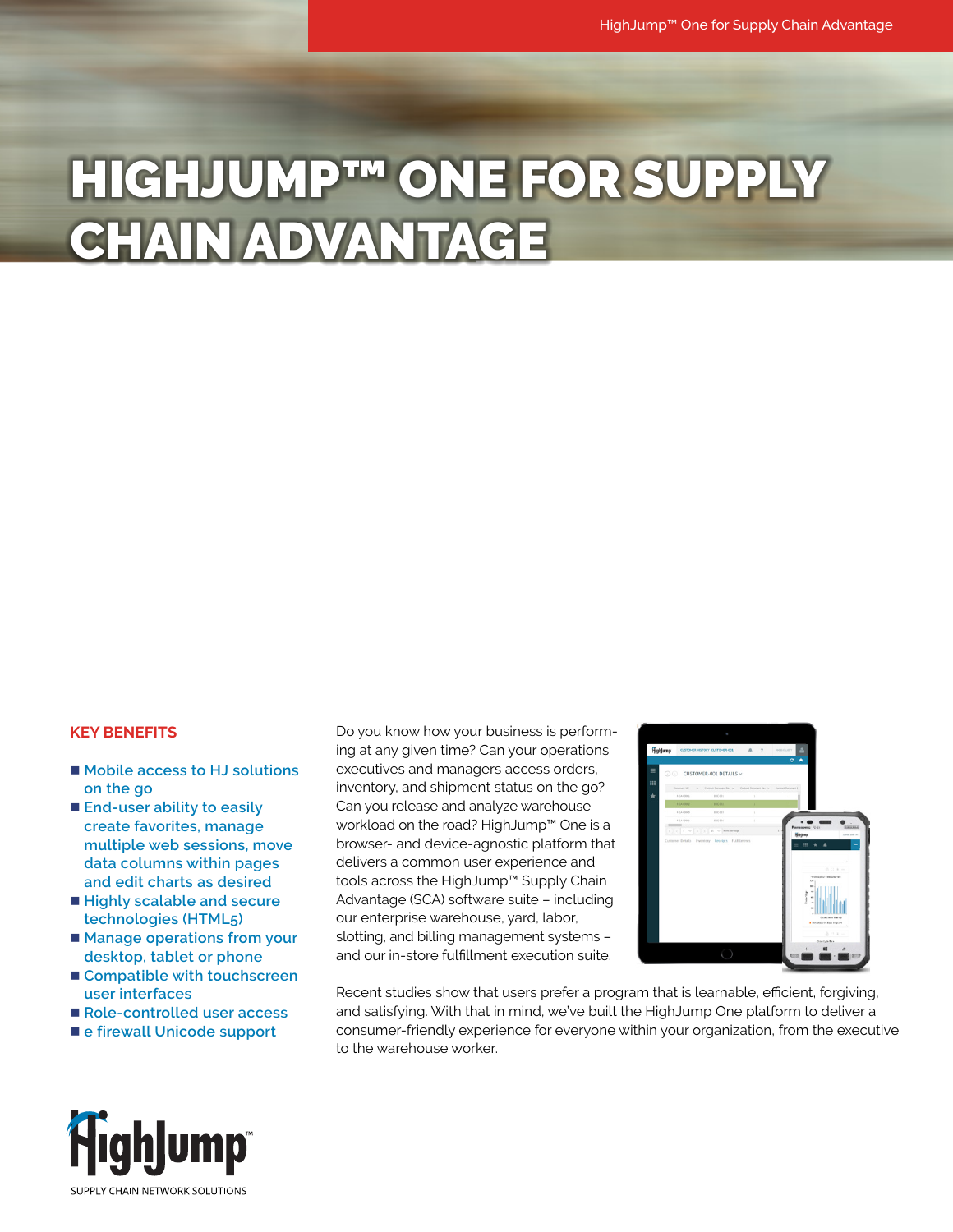## P™ ONE FOR SU HAIN ADVA

## **KEY BENEFITS**

- Mobile access to HJ solutions **on the go**
- **End-user ability to easily create favorites, manage multiple web sessions, move data columns within pages and edit charts as desired**
- **Highly scalable and secure technologies (HTML5)**
- **Manage operations from your desktop, tablet or phone**
- **Compatible with touchscreen user interfaces**
- Role-controlled user access
- **e firewall Unicode support**

Do you know how your business is performing at any given time? Can your operations executives and managers access orders, inventory, and shipment status on the go? Can you release and analyze warehouse workload on the road? HighJump™ One is a browser- and device-agnostic platform that delivers a common user experience and tools across the HighJump™ Supply Chain Advantage (SCA) software suite – including our enterprise warehouse, yard, labor, slotting, and billing management systems – and our in-store fulfillment execution suite.



Recent studies show that users prefer a program that is learnable, efficient, forgiving, and satisfying. With that in mind, we've built the HighJump One platform to deliver a consumer-friendly experience for everyone within your organization, from the executive to the warehouse worker.